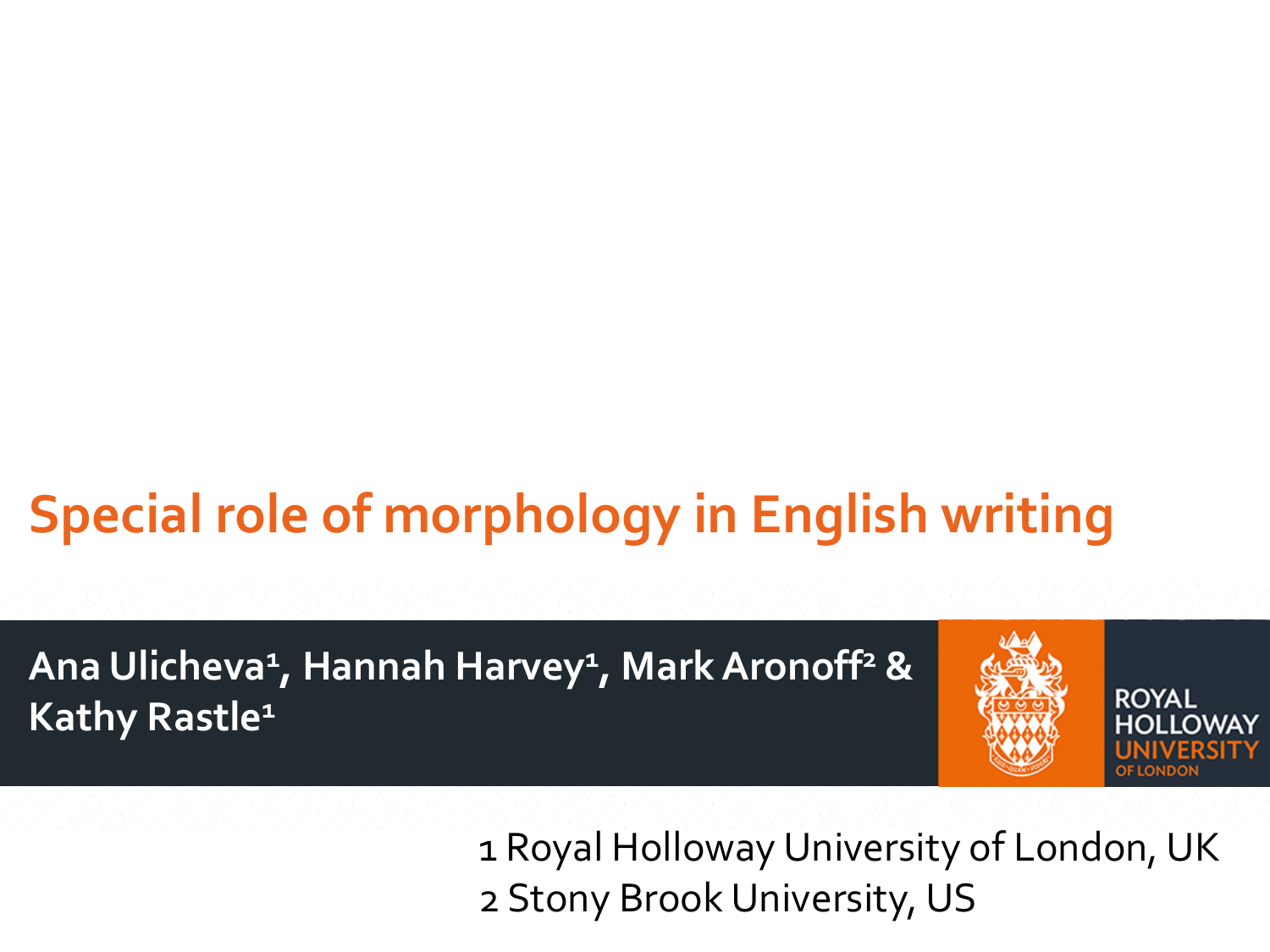## **Special role of morphology in English writing**

**Ana Ulicheva1, Hannah Harvey1, Mark Aronoff2 & Kathy Rastle1**



1 Royal Holloway University of London, UK 2 Stony Brook University, US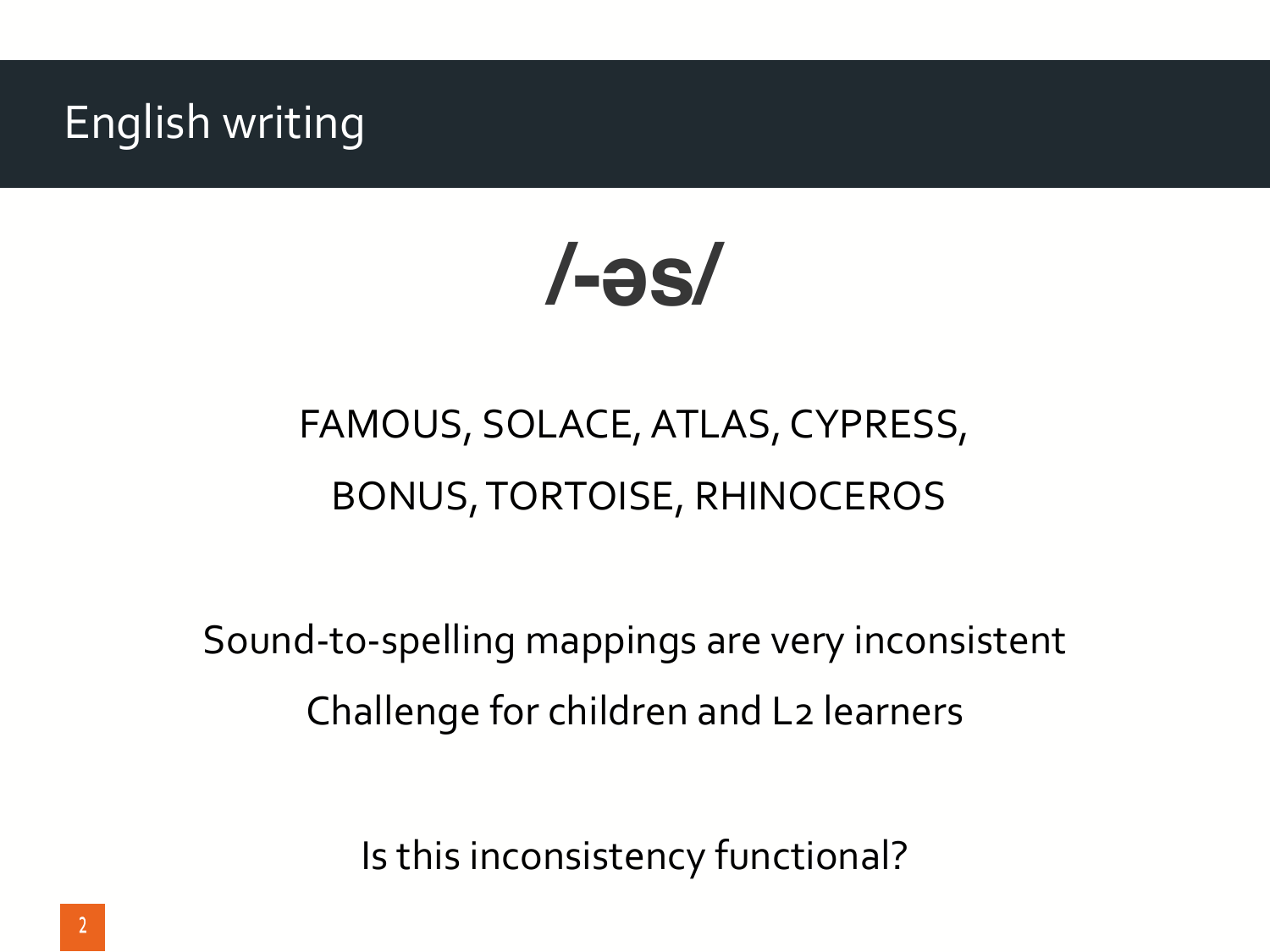#### English writing

**/-əs/**

### FAMOUS, SOLACE, ATLAS, CYPRESS, BONUS, TORTOISE, RHINOCEROS

Sound-to-spelling mappings are very inconsistent Challenge for children and L2 learners

Is this inconsistency functional?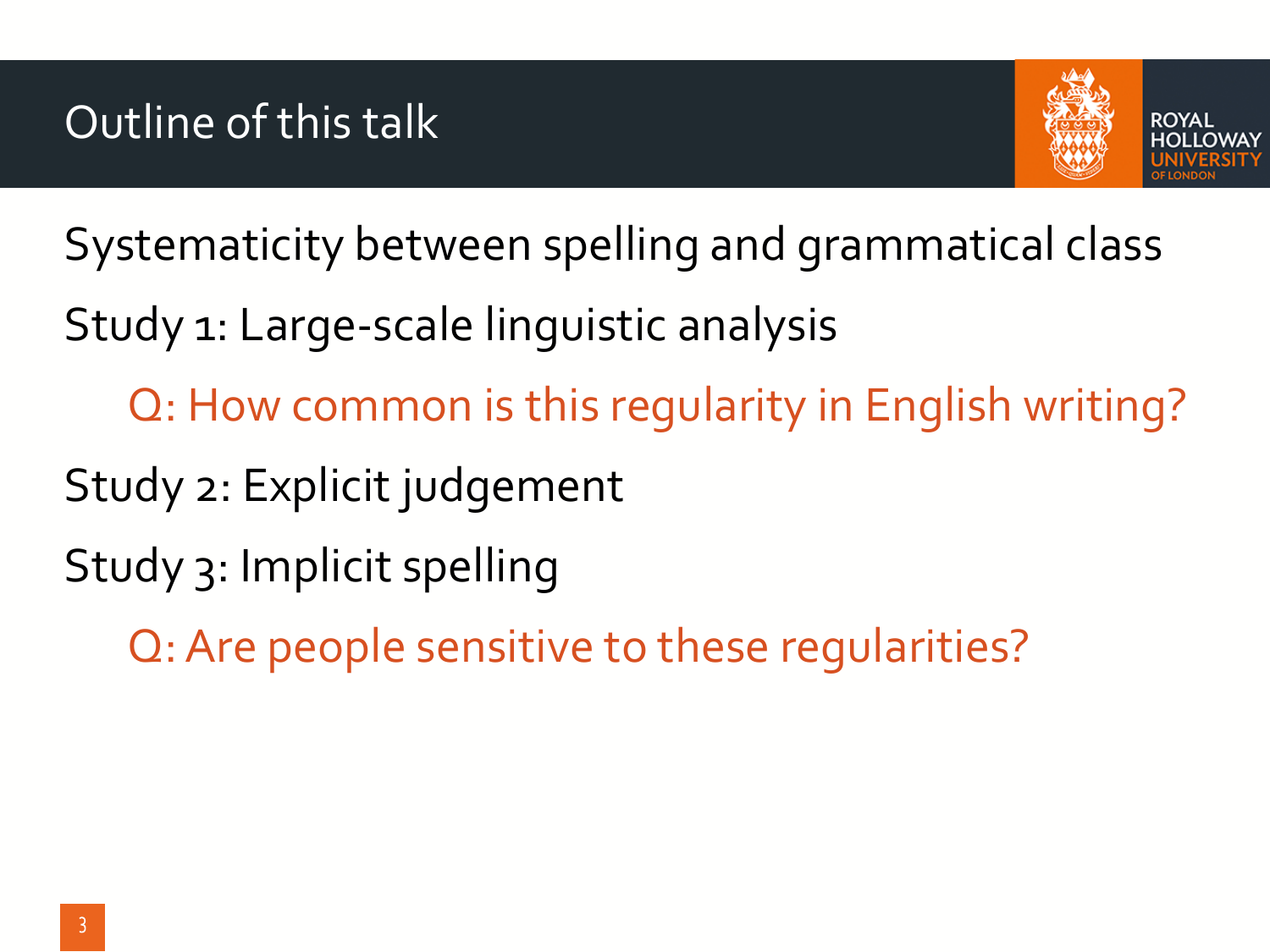

Systematicity between spelling and grammatical class

Study 1: Large-scale linguistic analysis

Q: How common is this regularity in English writing?

Study 2: Explicit judgement

Study 3: Implicit spelling

Q: Are people sensitive to these regularities?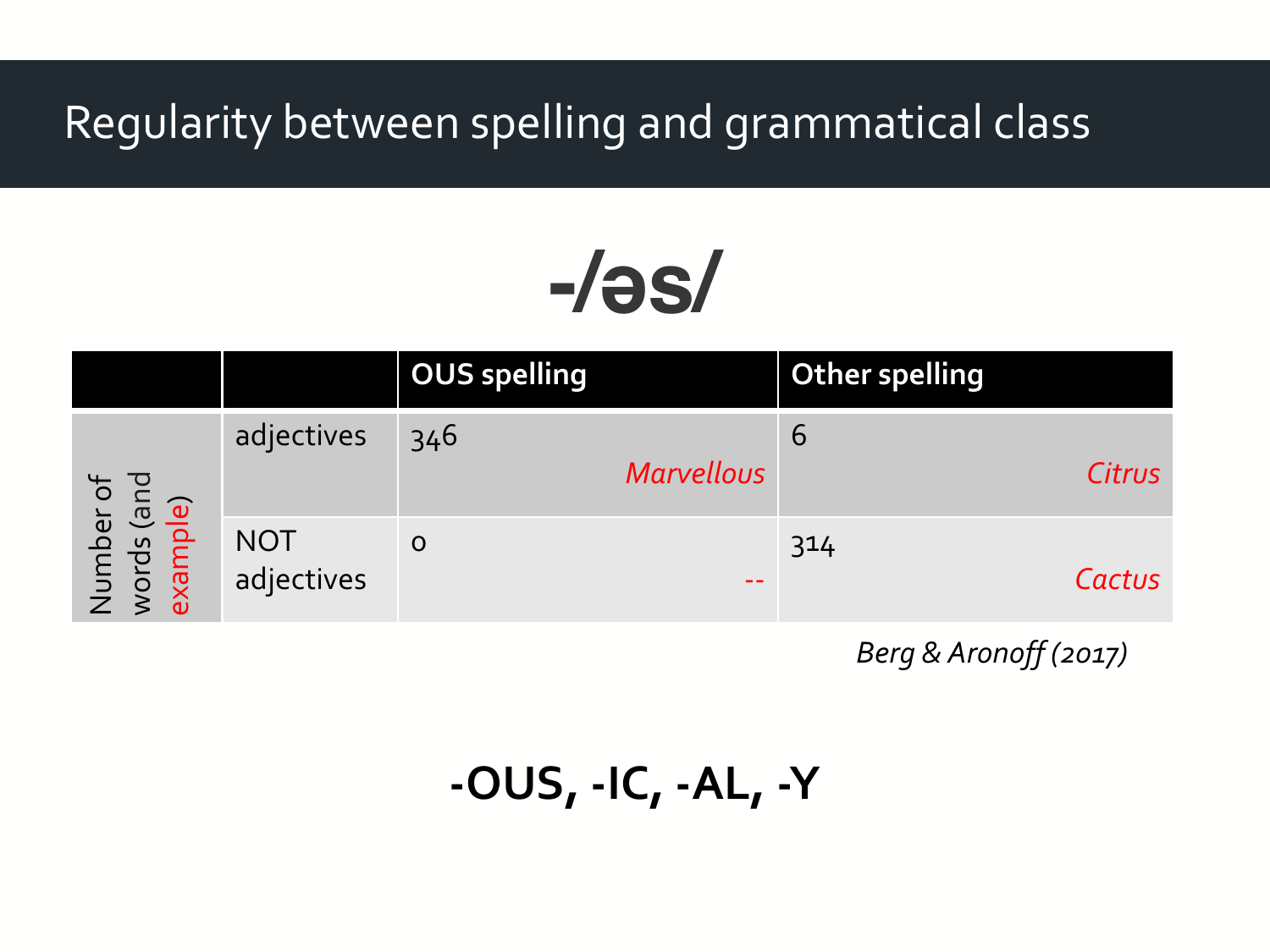#### Regularity between spelling and grammatical class

# **-/əs/**

|                                                           |                          | <b>OUS spelling</b> |                   | <b>Other spelling</b> |        |
|-----------------------------------------------------------|--------------------------|---------------------|-------------------|-----------------------|--------|
| ber of<br>s (and<br><b>iple)</b><br>Numb<br>words<br>exam | adjectives               | 346                 | <b>Marvellous</b> | 6                     | Citrus |
|                                                           | <b>NOT</b><br>adjectives | $\mathbf O$         | $\sim$ $\sim$     | 314                   | Cactus |

*Berg & Aronoff (2017)*

```
-OUS, -IC, -AL, -Y
```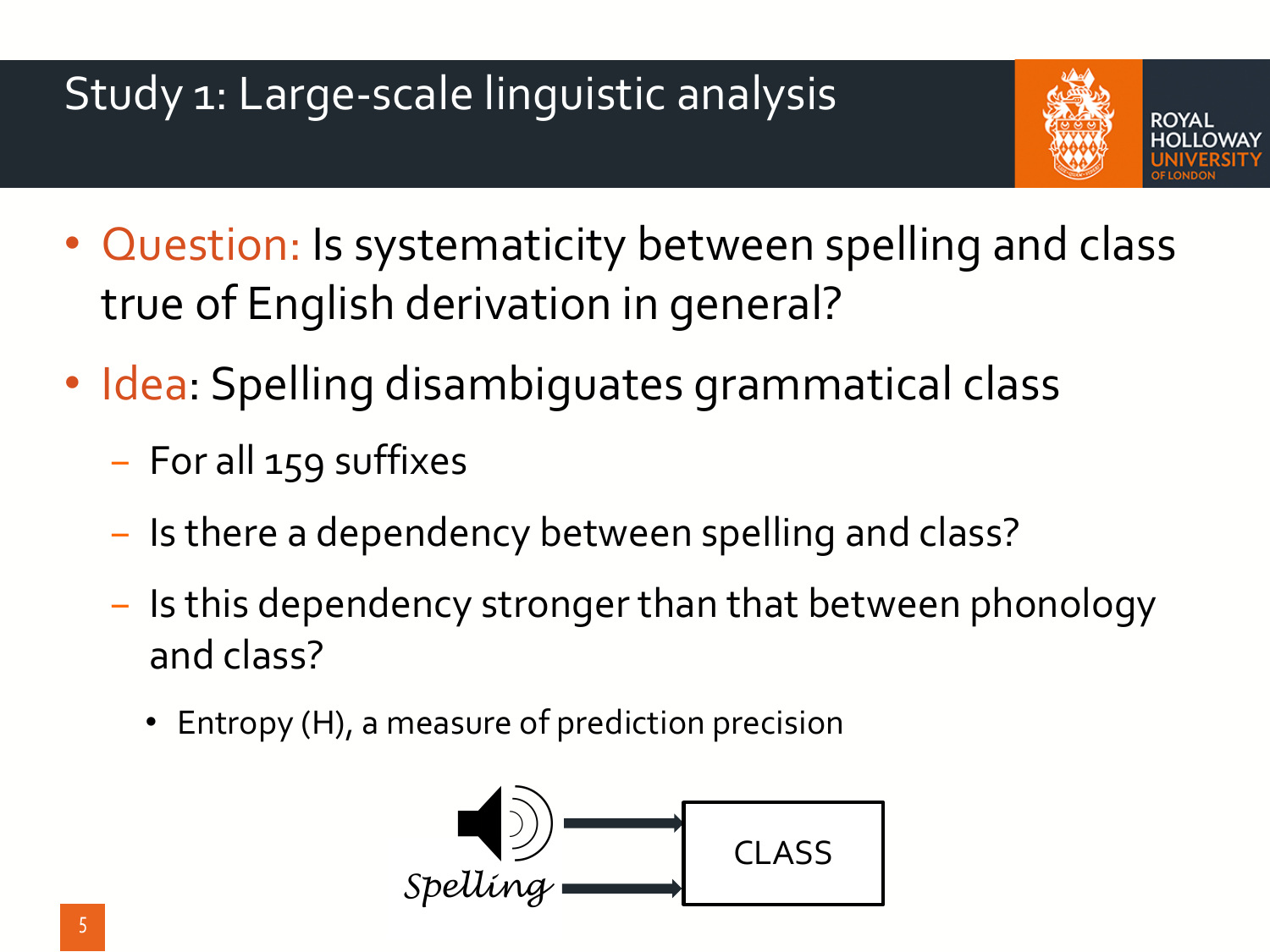### Study 1: Large-scale linguistic analysis



- Question: Is systematicity between spelling and class true of English derivation in general?
- Idea: Spelling disambiguates grammatical class
	- − For all 159 suffixes
	- − Is there a dependency between spelling and class?
	- − Is this dependency stronger than that between phonology and class?
		- Entropy (H), a measure of prediction precision

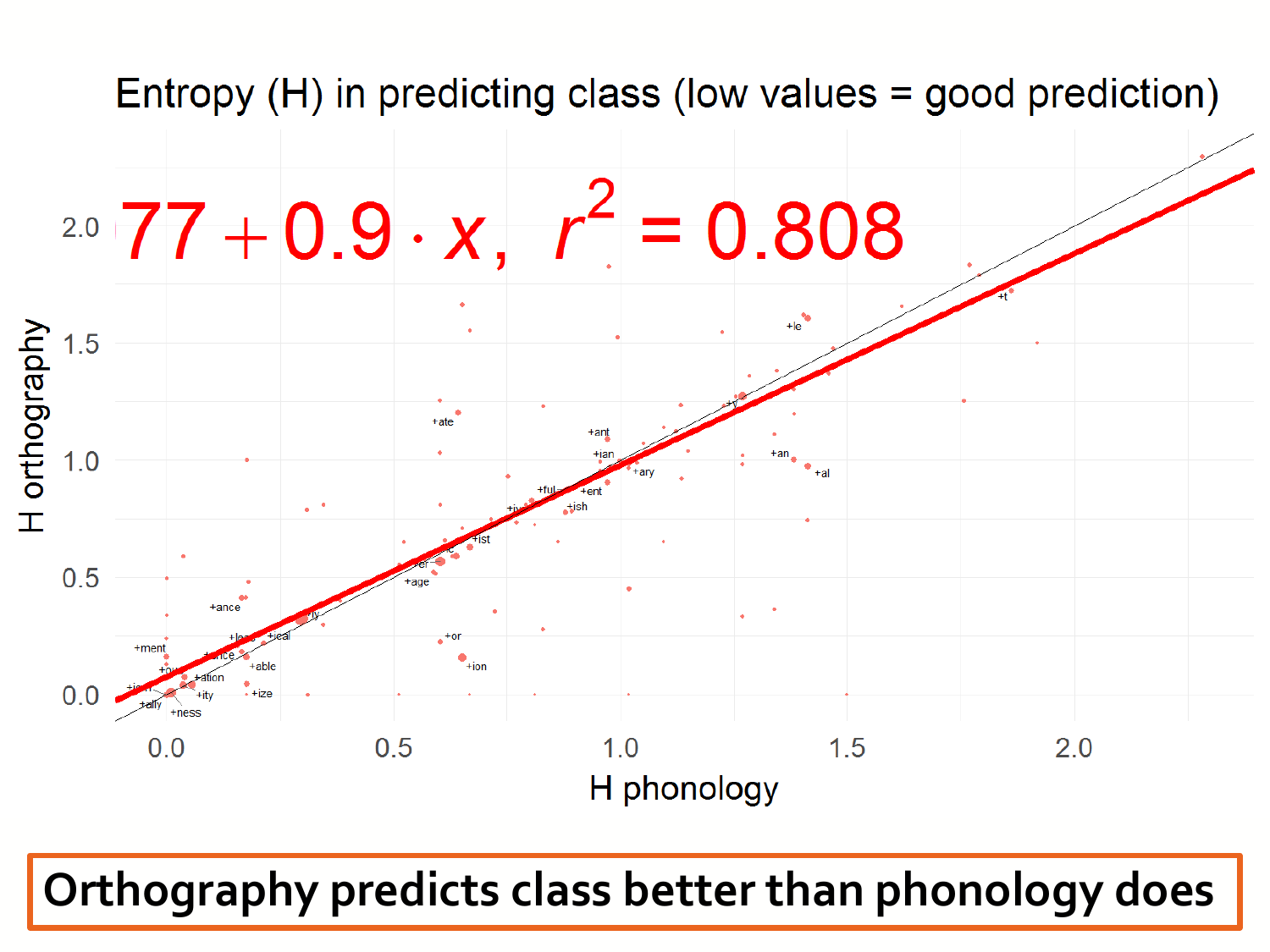

**Orthography predicts class better than phonology does**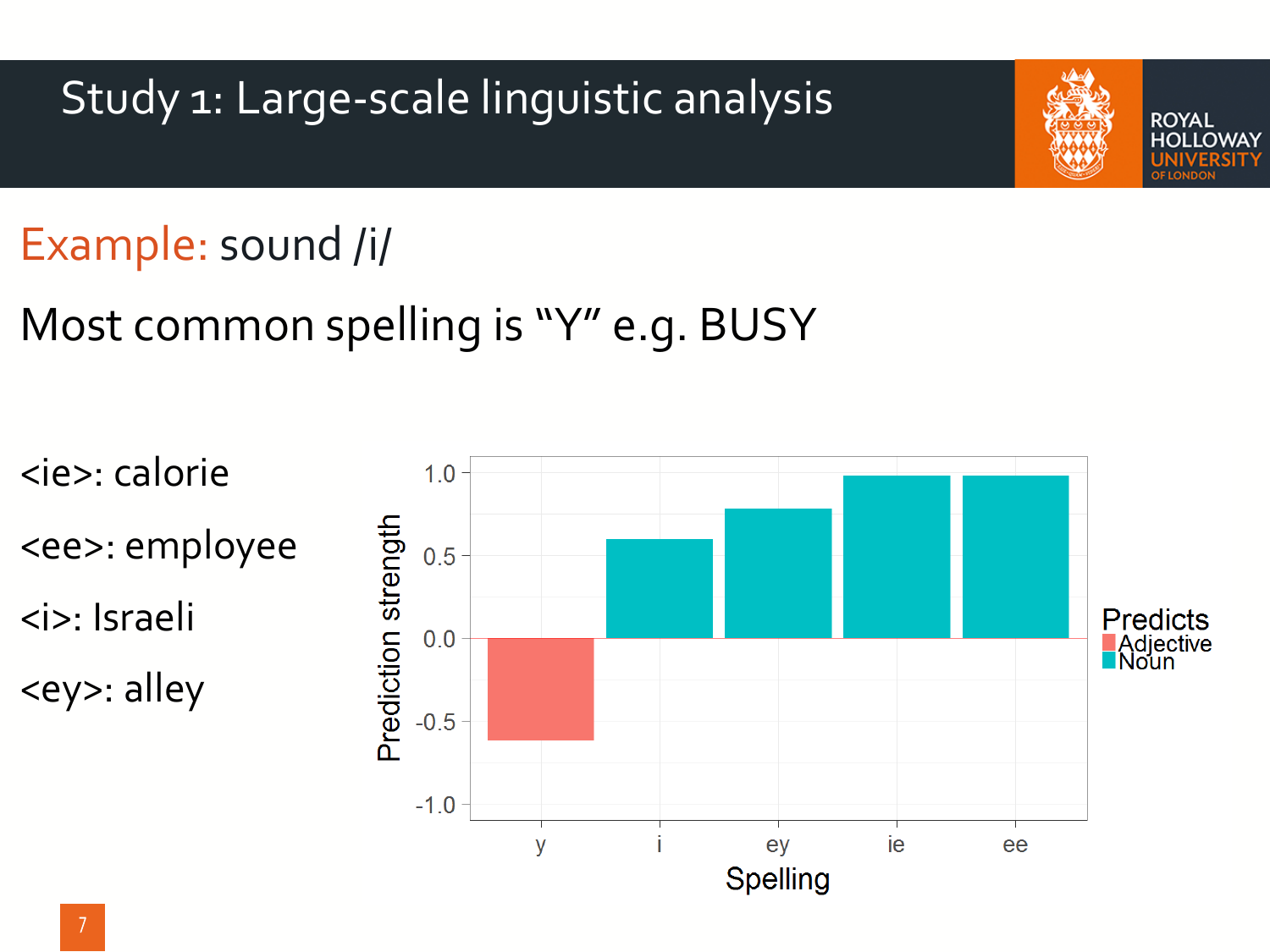Study 1: Large-scale linguistic analysis

### Example: sound /i/

### Most common spelling is "Y" e.g. BUSY

<ie>: calorie  $1.0$ Prediction strength <ee>: employee  $0.5$ <i>: Israeli **Predicts**  $0.0$ **Adjective**<br>Noun <ey>: alley  $-0.5$  $-1.0$ ie  $\overline{V}$ ey ee **Spelling** 

**ROYAL** 

.LOWAY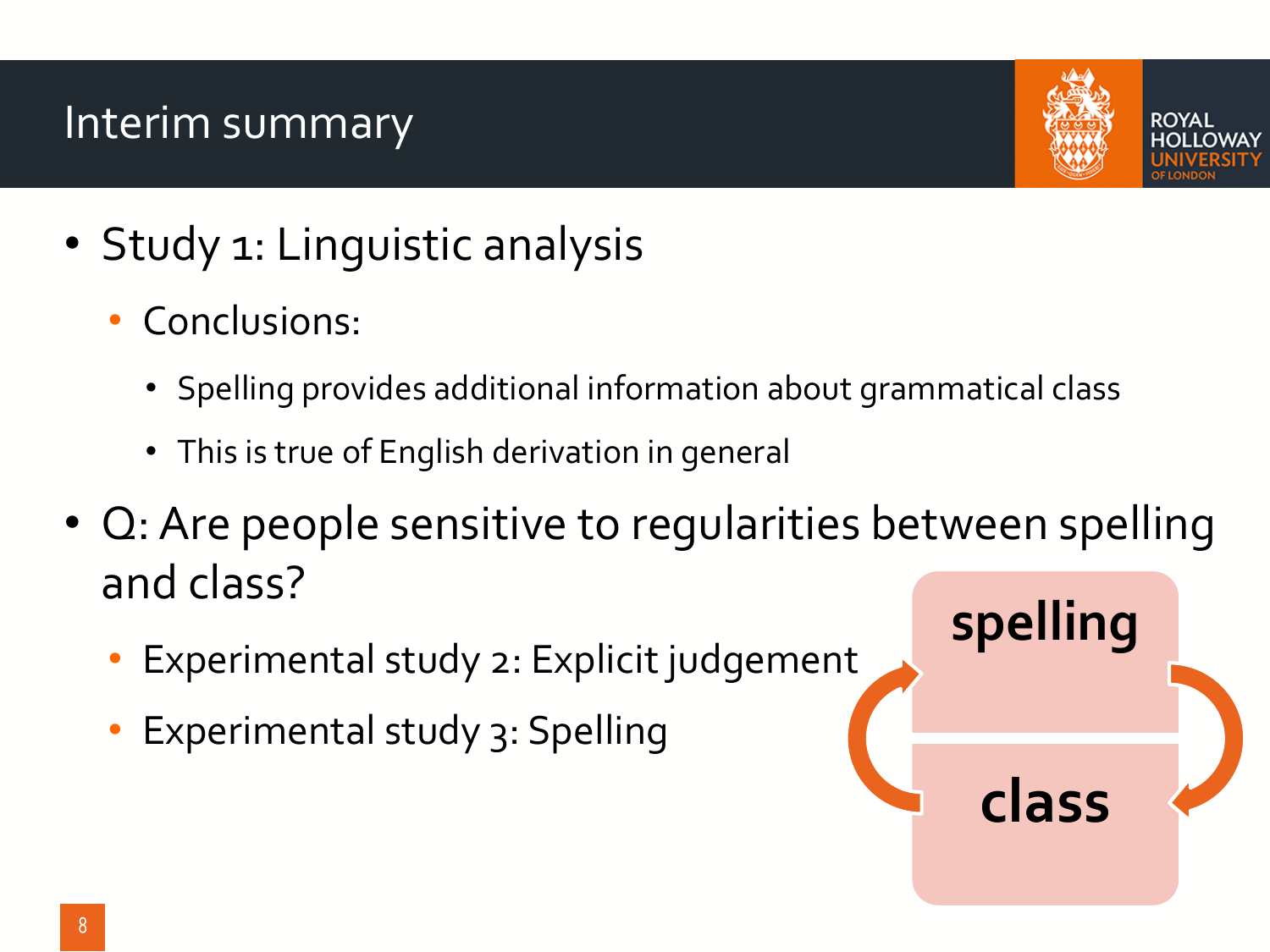#### Interim summary



**class**

ROYAI

- Study 1: Linguistic analysis
	- Conclusions:
		- Spelling provides additional information about grammatical class
		- This is true of English derivation in general
- Q: Are people sensitive to regularities between spelling and class? **spelling**
	- Experimental study 2: Explicit judgement
	- Experimental study 3: Spelling

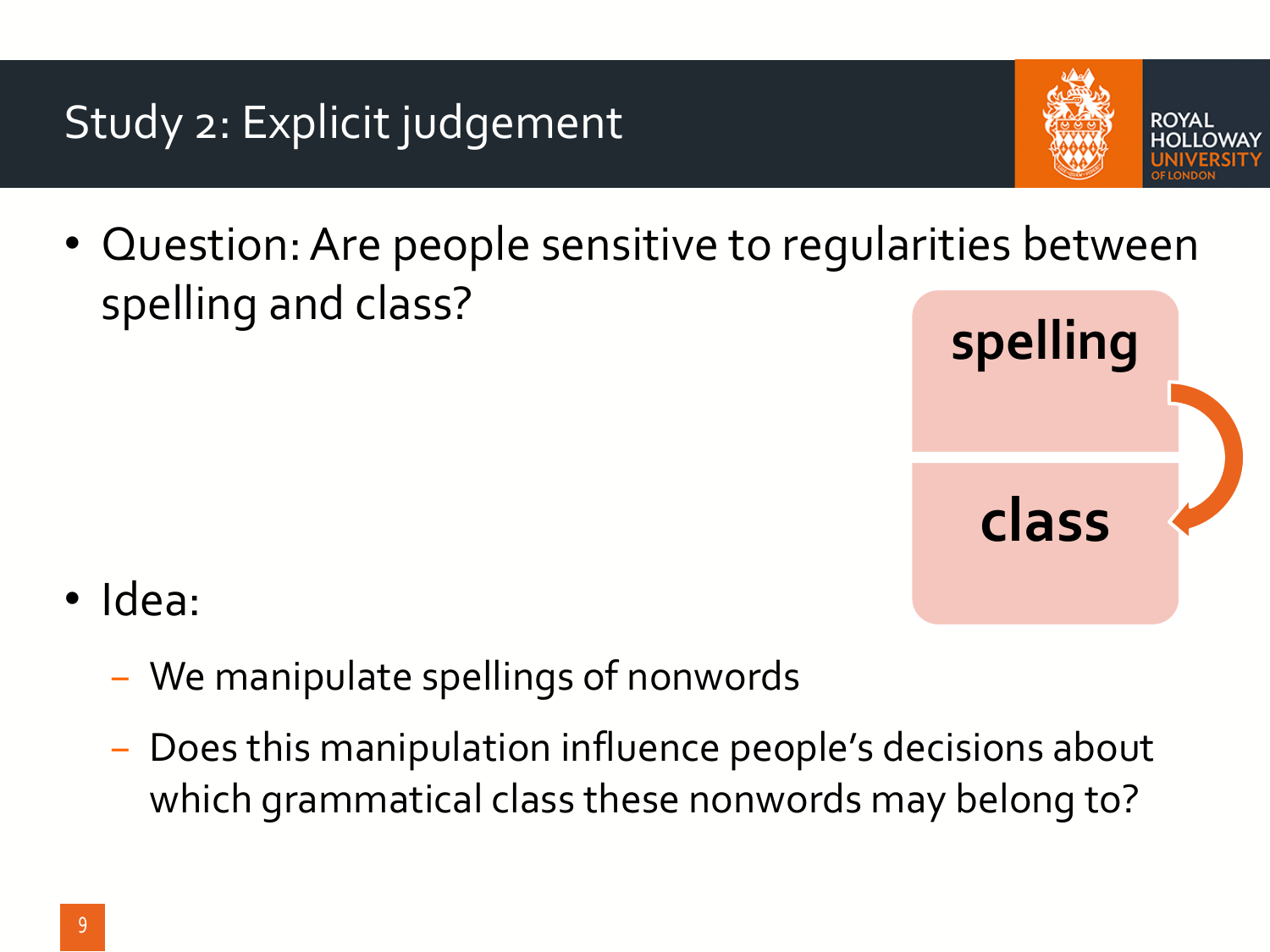#### Study 2: Explicit judgement



- ROYAI
- Question: Are people sensitive to regularities between spelling and class?



- Idea:
	- − We manipulate spellings of nonwords
	- − Does this manipulation influence people's decisions about which grammatical class these nonwords may belong to?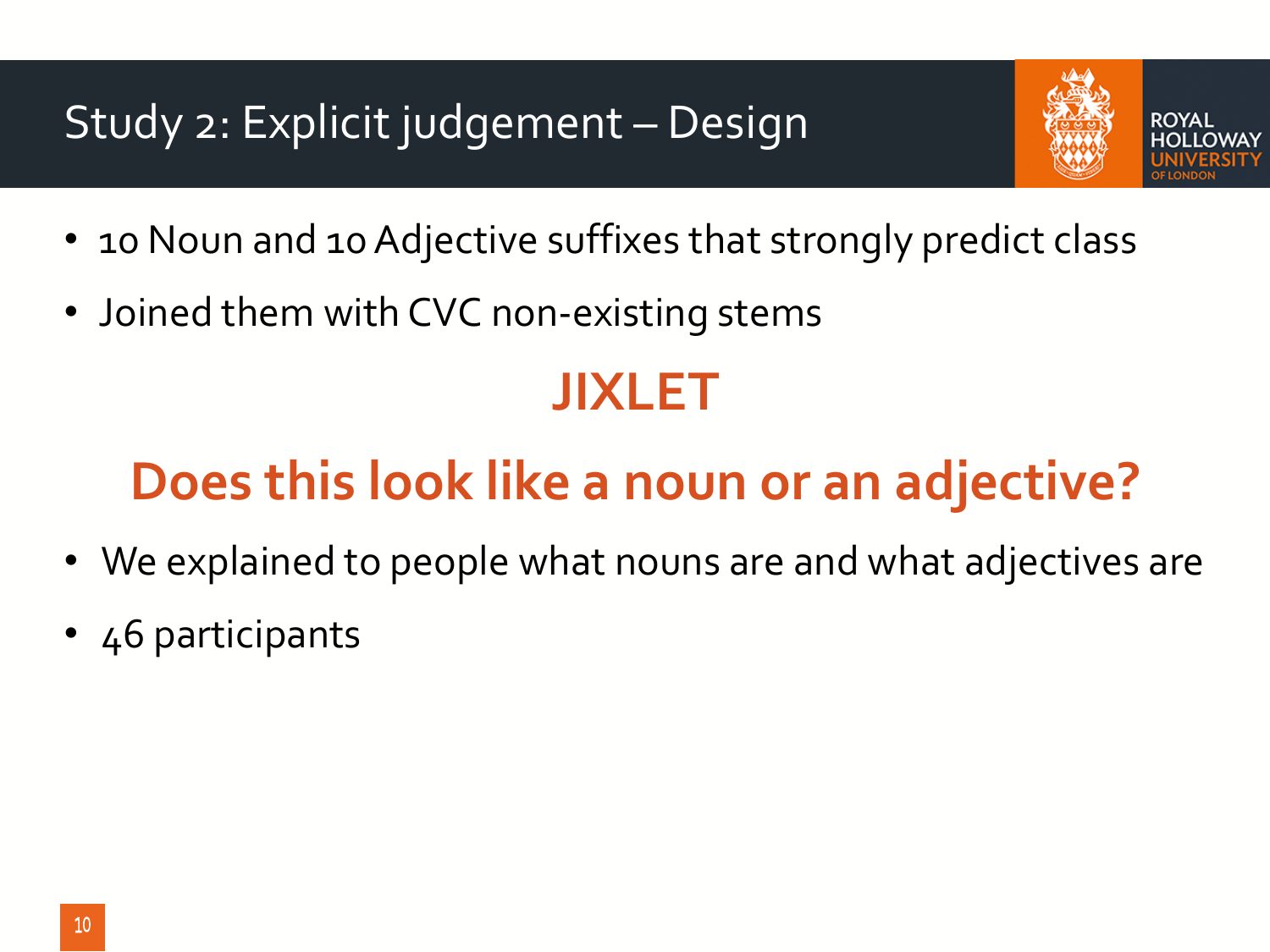#### Study 2: Explicit judgement – Design



- 
- 10 Noun and 10 Adjective suffixes that strongly predict class
- Joined them with CVC non-existing stems

## **JIXLET**

# **Does this look like a noun or an adjective?**

- We explained to people what nouns are and what adjectives are
- 46 participants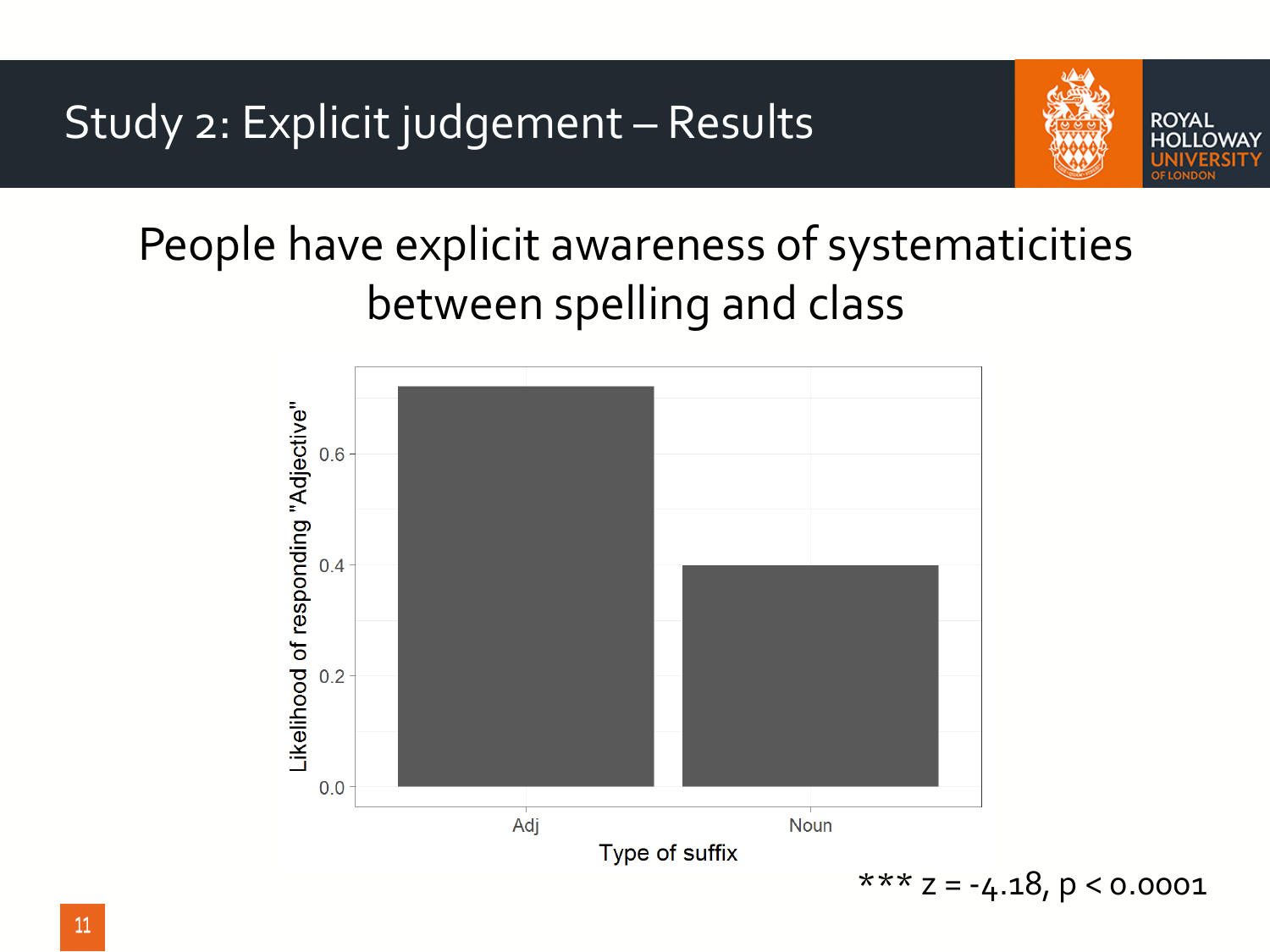

## People have explicit awareness of systematicities between spelling and class

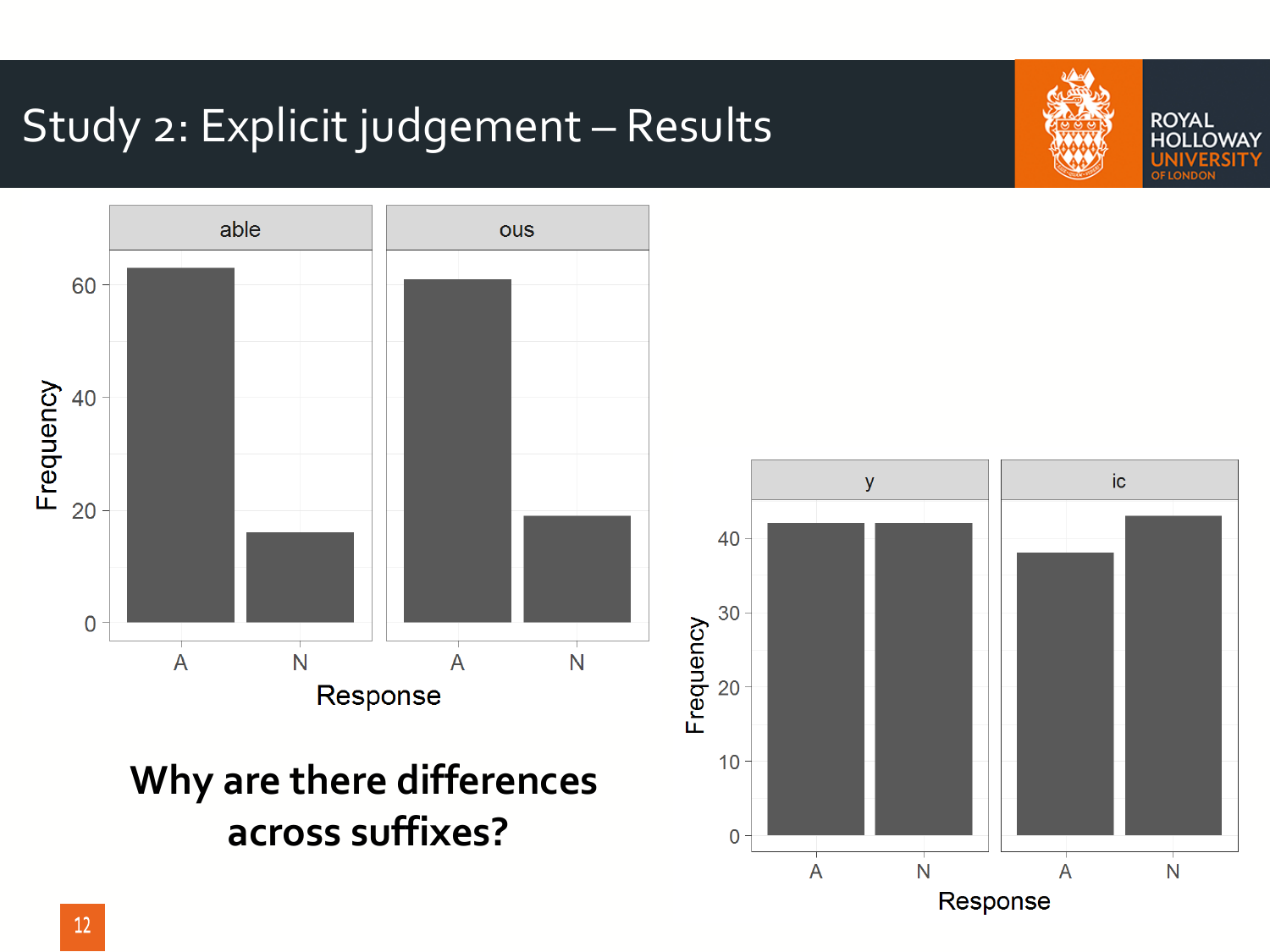#### Study 2: Explicit judgement – Results



**Why are there differences across suffixes?**





**ROYAL** 

**OLLOWAY**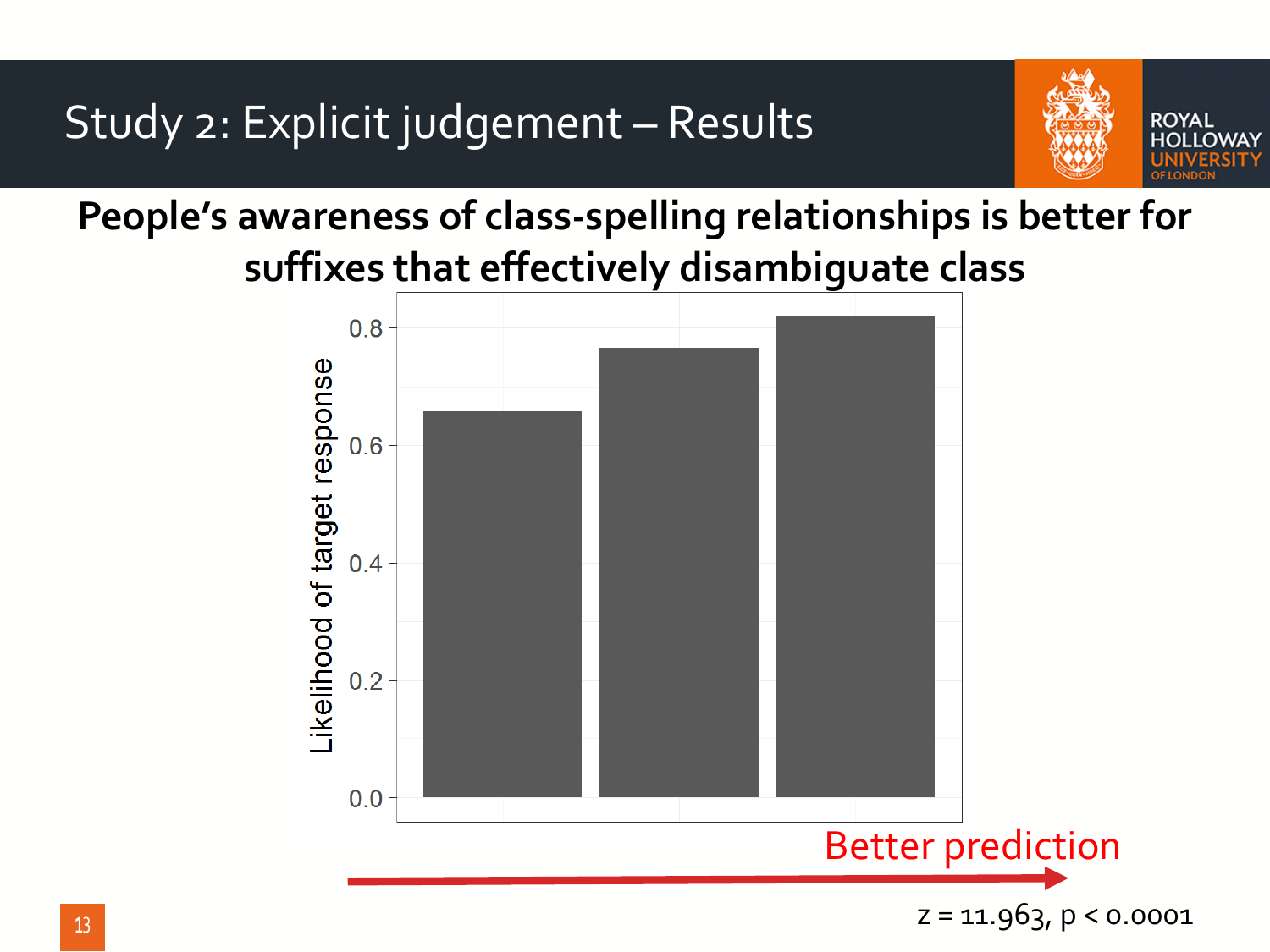Study 2: Explicit judgement – Results



**People's awareness of class-spelling relationships is better for suffixes that effectively disambiguate class**

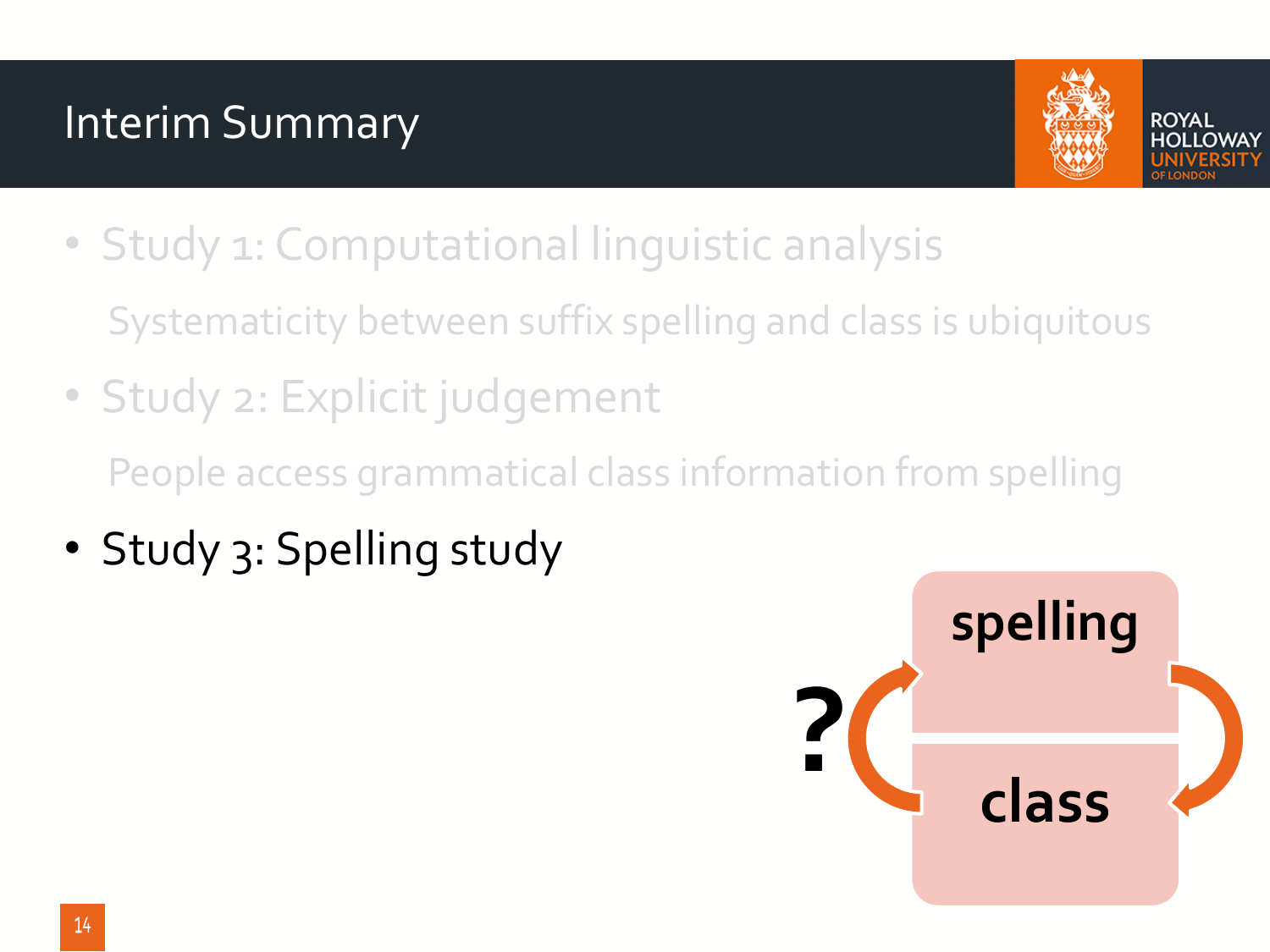#### Interim Summary



- ROYAL
- Study 1: Computational linguistic analysis Systematicity between suffix spelling and class is ubiquitous
- Study 2: Explicit judgement People access grammatical class information from spelling
- Study 3: Spelling study

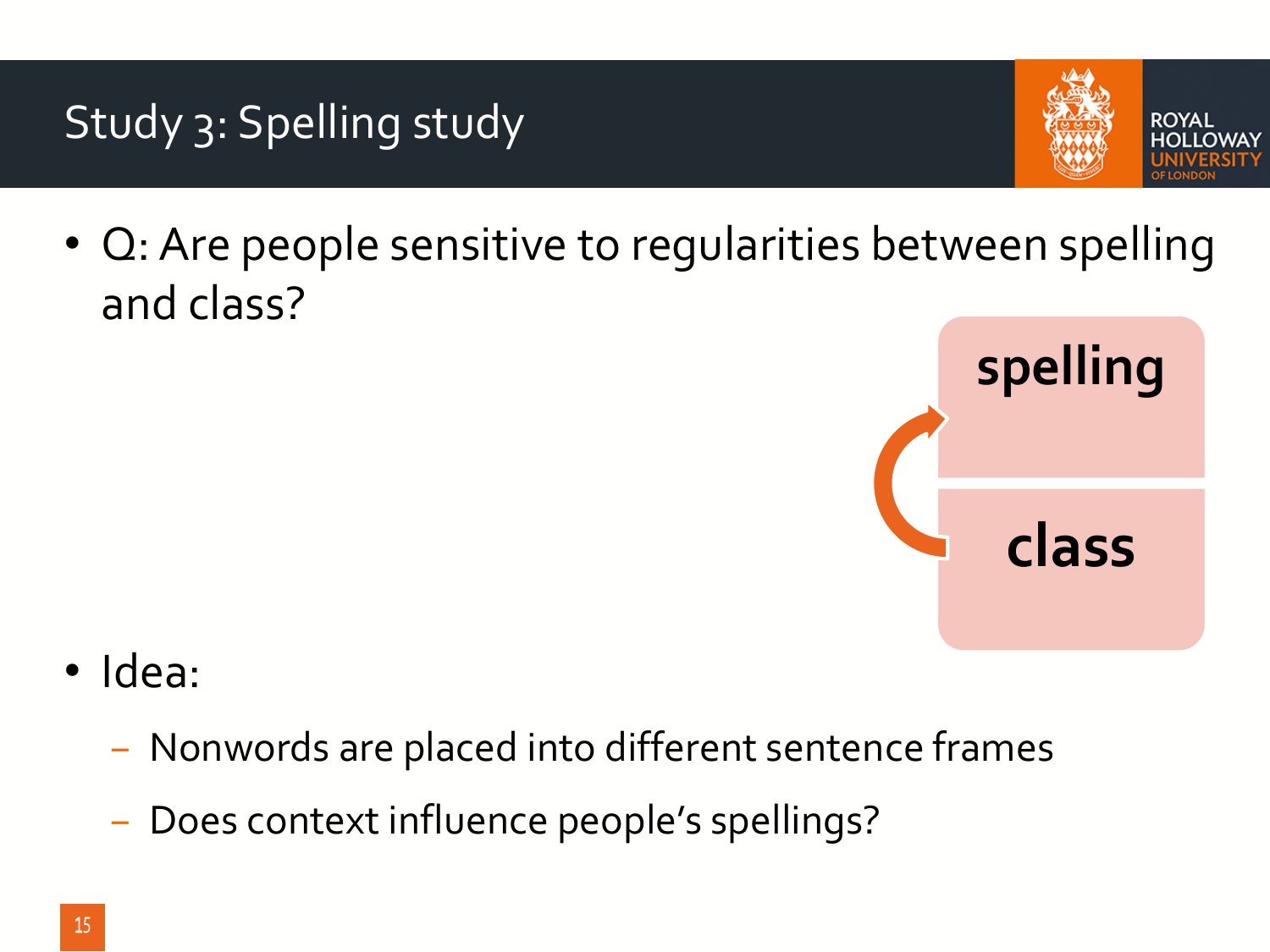#### Study 3: Spelling study



• Q: Are people sensitive to regularities between spelling and class?



- Idea:
	- − Nonwords are placed into different sentence frames
	- − Does context influence people's spellings?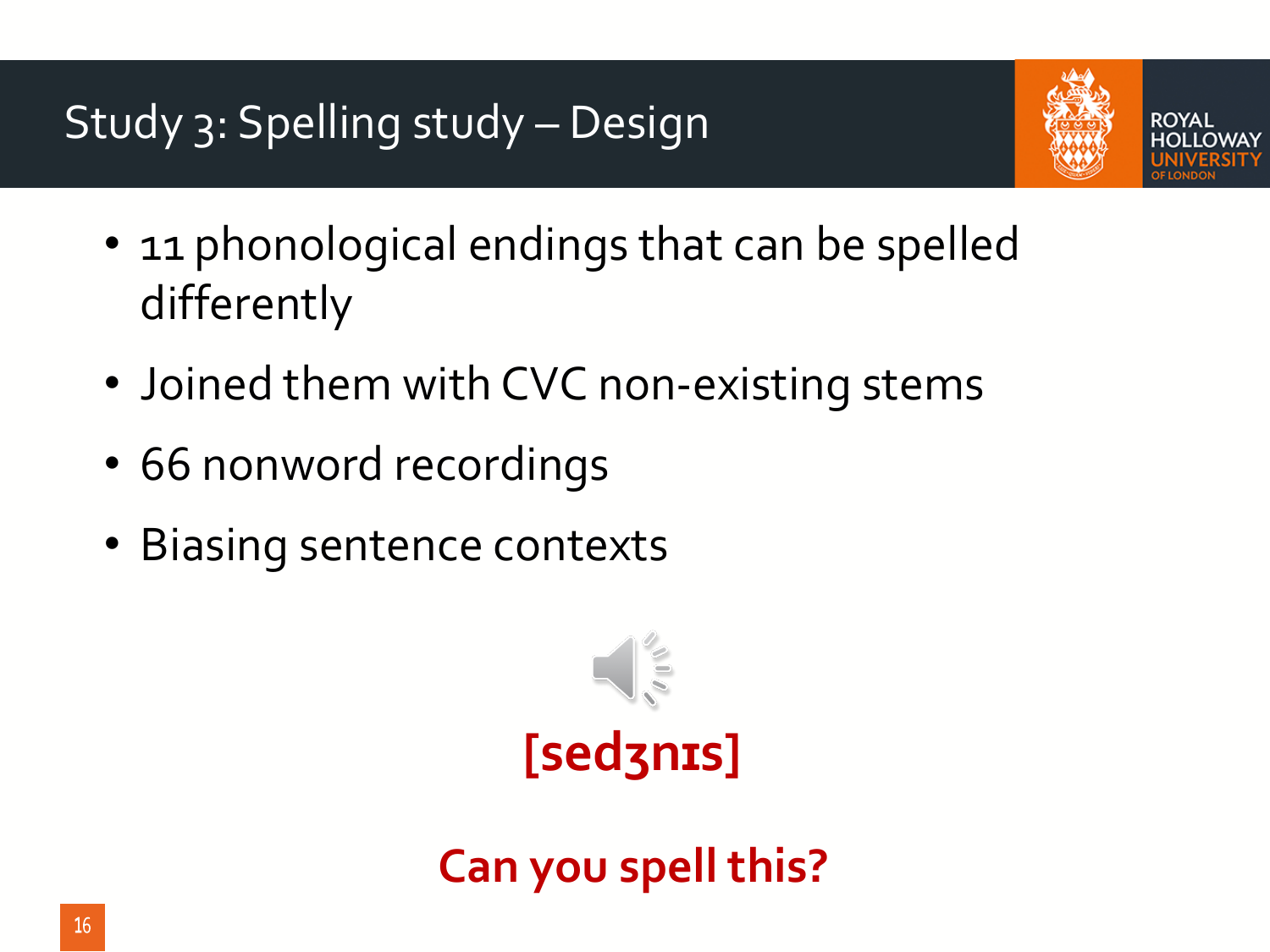

ROYAI

- 11 phonological endings that can be spelled differently
- Joined them with CVC non-existing stems
- 66 nonword recordings
- Biasing sentence contexts



## **[sedʒnɪs]**

**Can you spell this?**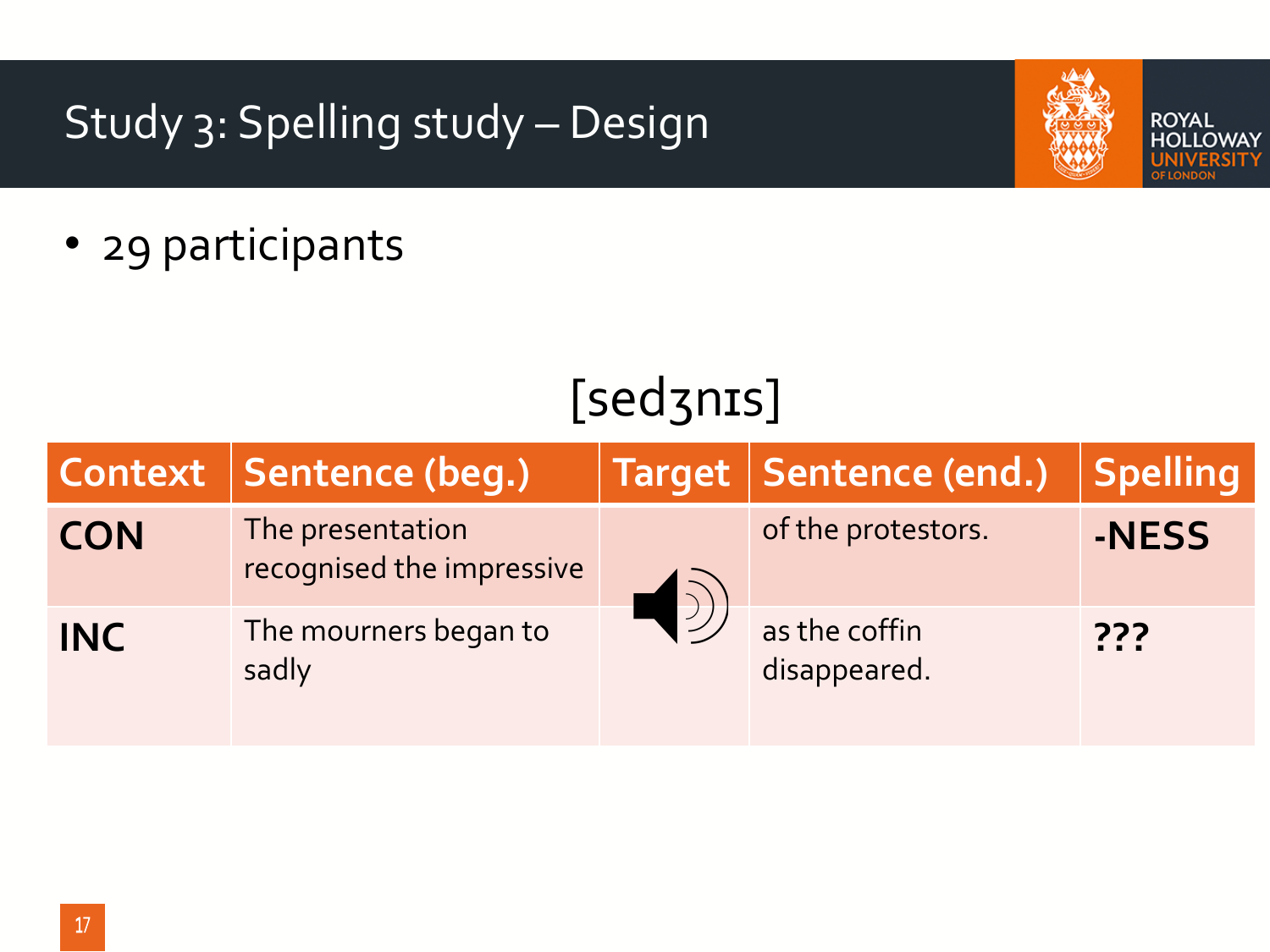#### Study 3: Spelling study – Design



**ROYAL HOLLOWAY** 

• 29 participants

## [sedʒnɪs]

|            | Context   Sentence (beg.)                     | Target   Sentence (end.)      | <b>Spelling</b> |
|------------|-----------------------------------------------|-------------------------------|-----------------|
| <b>CON</b> | The presentation<br>recognised the impressive | of the protestors.            | -NESS           |
| <b>INC</b> | The mourners began to<br>sadly                | as the coffin<br>disappeared. | ???             |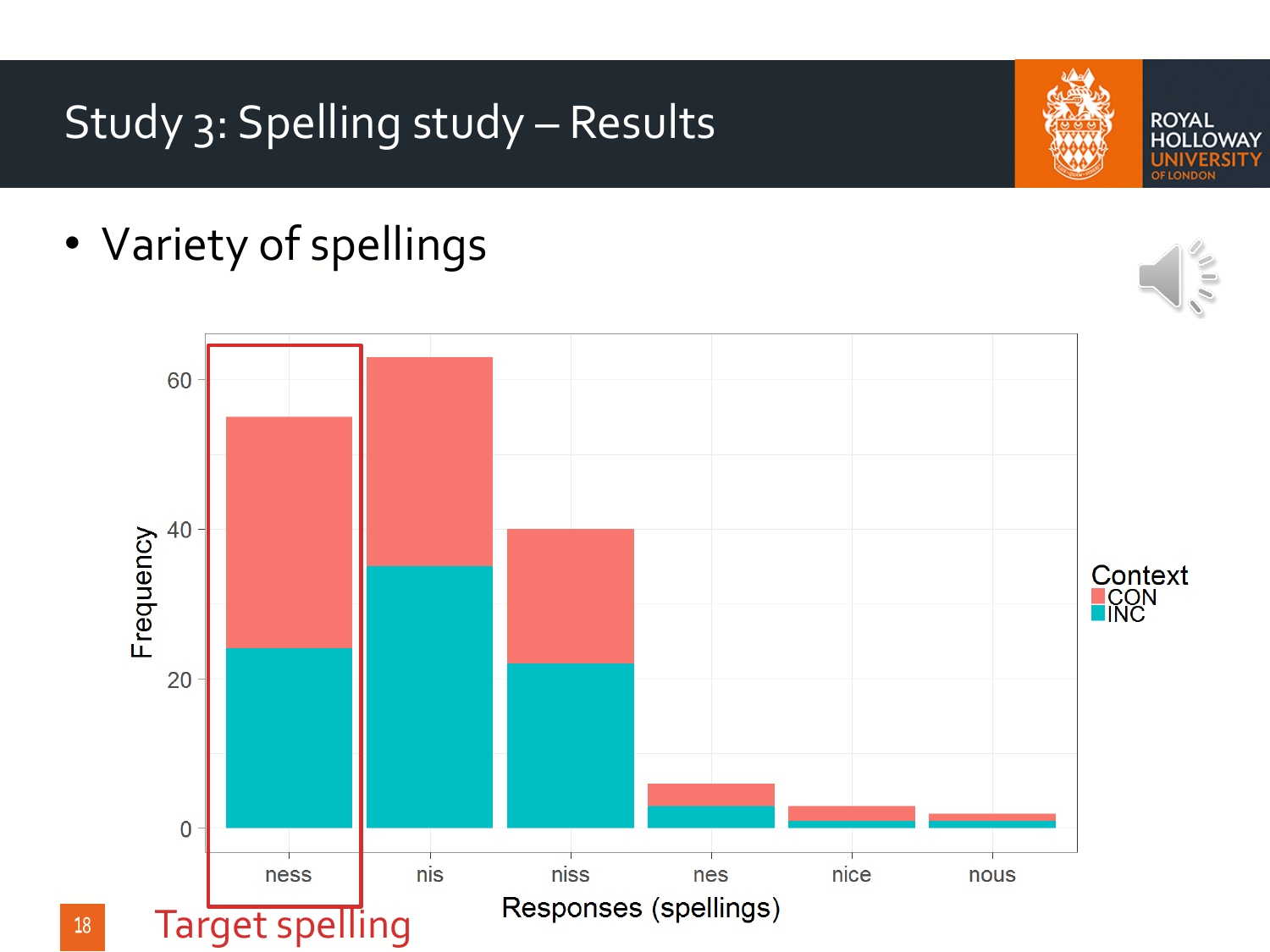### Study 3: Spelling study – Results

• Variety of spellings



**ROYAL HOLLOWAY**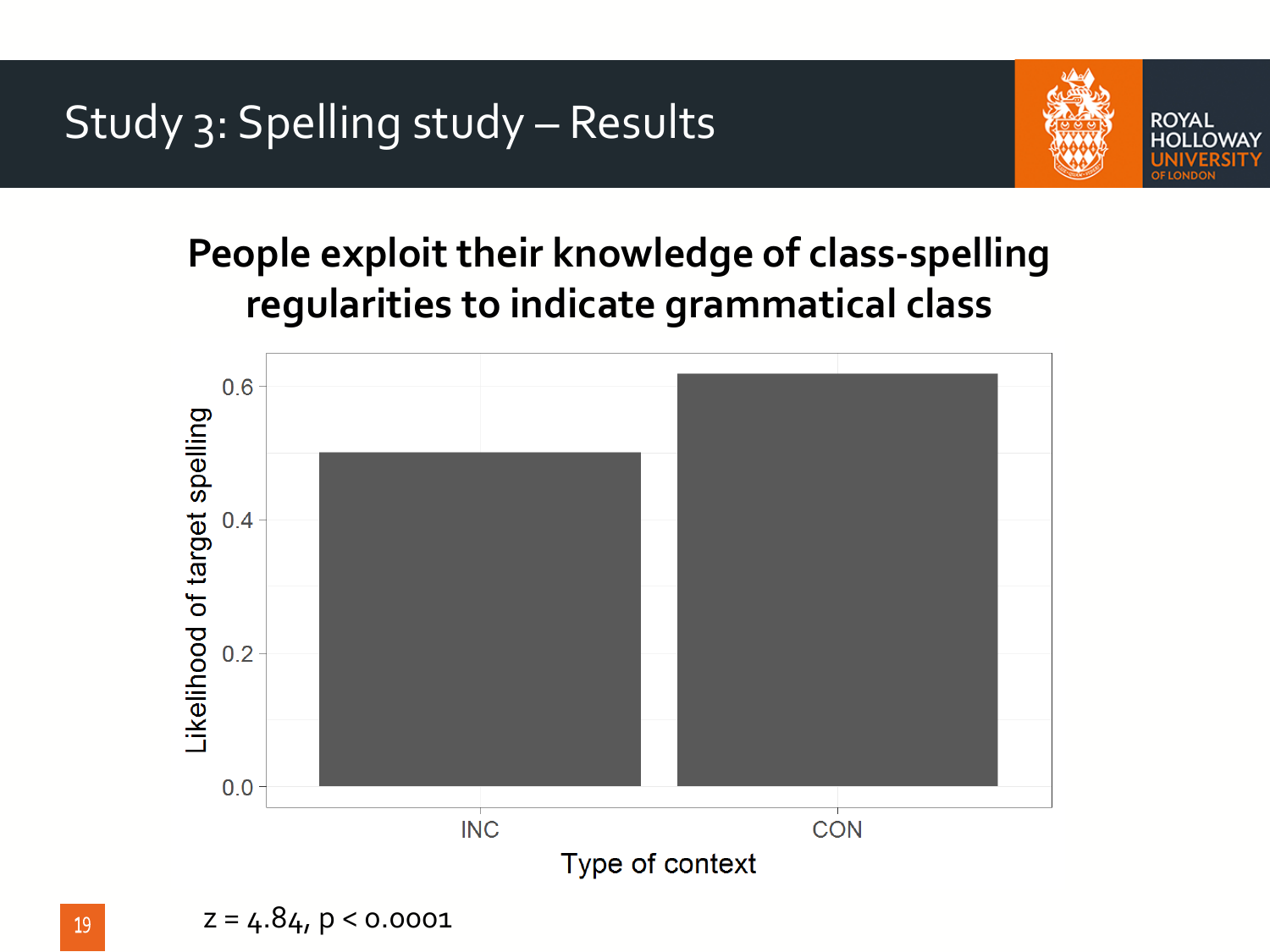

#### **People exploit their knowledge of class-spelling regularities to indicate grammatical class**

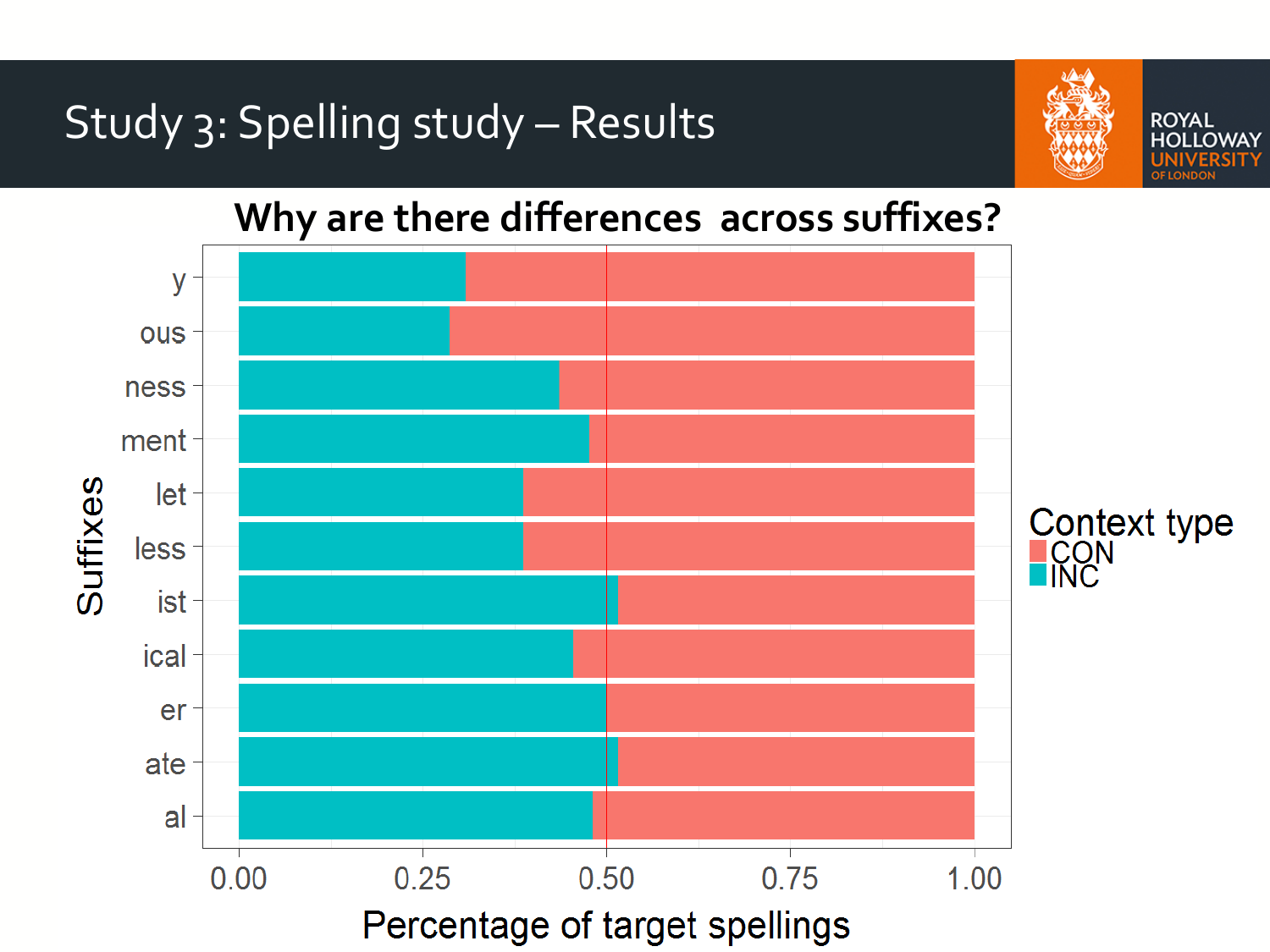



**ROYAL OLLOWAY** 

#### **Why are there differences across suffixes?**

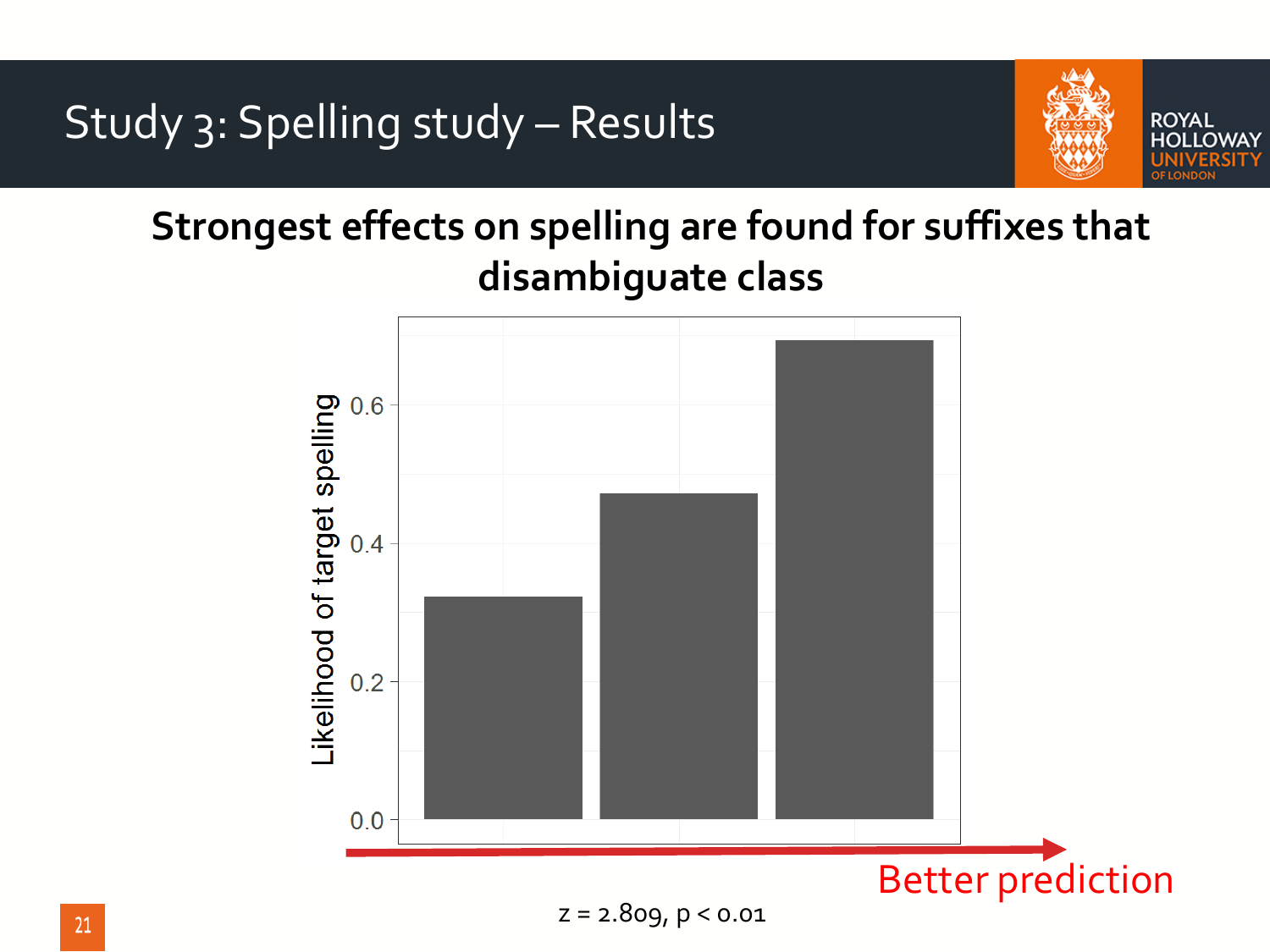

**Strongest effects on spelling are found for suffixes that disambiguate class**

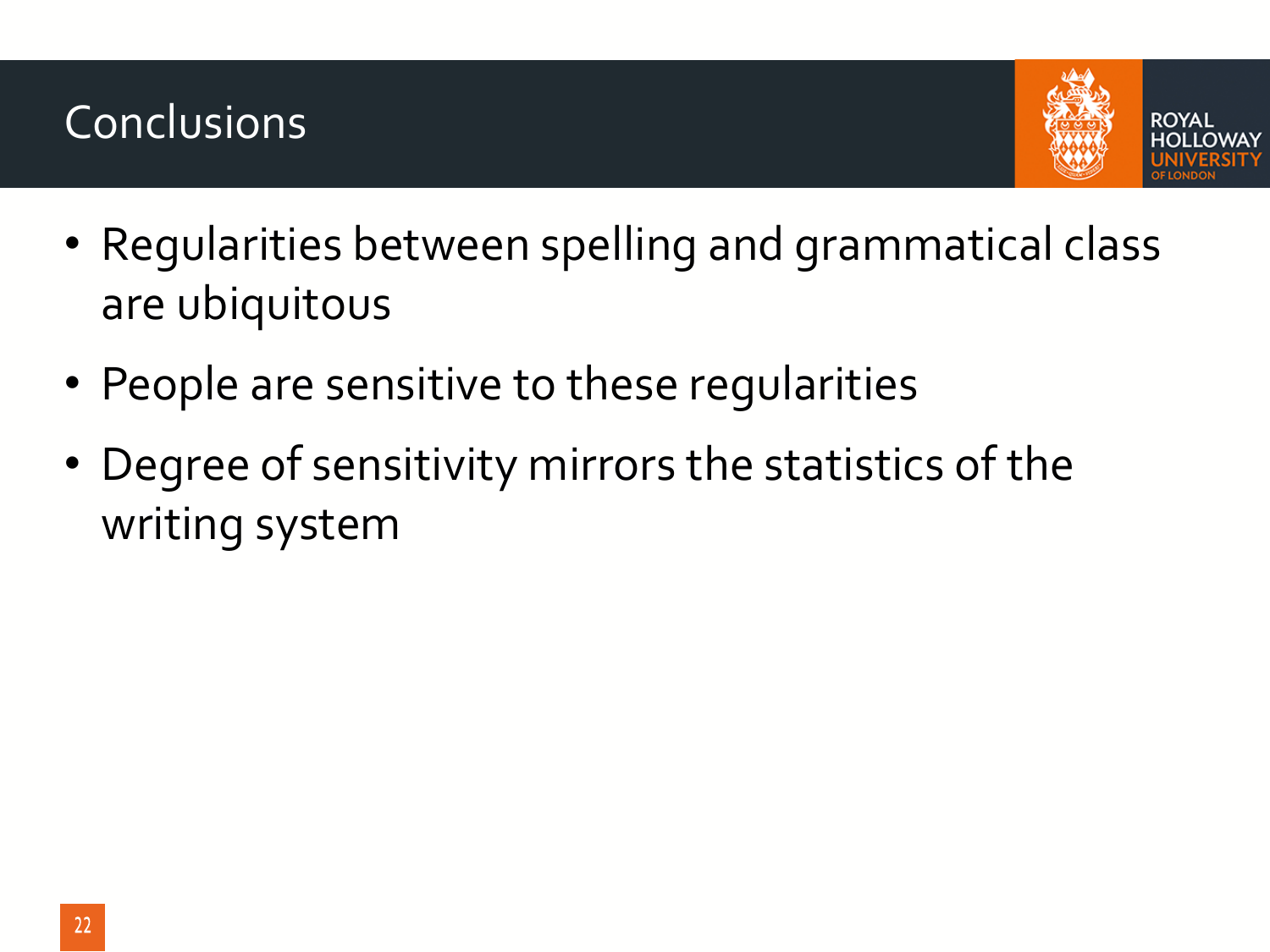#### Conclusions



- Regularities between spelling and grammatical class are ubiquitous
- People are sensitive to these regularities
- Degree of sensitivity mirrors the statistics of the writing system